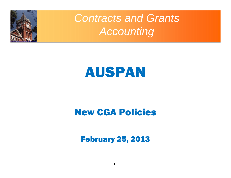

### *Contracts and Grants Accounting*

# AUSPAN

#### New CGA Policies

February 25, 2013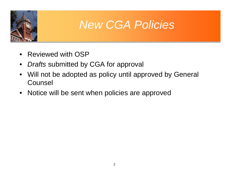

#### *New CGA Policies*

- $\bullet$ Reviewed with OSP
- $\bullet$ *Drafts* submitted by CGA for approval
- $\bullet$  Will not be adopted as policy until approved by General **Counsel**
- Notice will be sent when policies are approved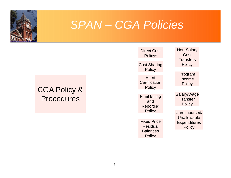

#### *SPAN – CGA Policies*

#### CGA Policy & **Procedures**

Direct CostPolicy\*

Cost Sharing **Policy** 

**Effort Certification Policy** 

Final Billing and **Reporting Policy** 

Fixed Price Residual **Balances Policy** 

Non-Salary **Cost Transfers Policy** 

> Program Income **Policy**

Salary/Wage **Transfer Policy** 

Unreimbursed/Unallowable**Expenditures Policy**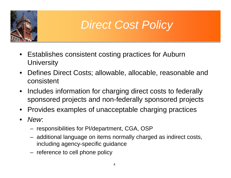

## *Direct Cost Policy*

- $\bullet$  Establishes consistent costing practices for Auburn **University**
- $\bullet$  Defines Direct Costs; allowable, allocable, reasonable and consistent
- $\bullet$  Includes information for charging direct costs to federally sponsored projects and non-federally sponsored projects
- $\bullet$ Provides examples of unacceptable charging practices
- $\bullet$  *New*:
	- responsibilities for PI/department, CGA, OSP
	- additional language on items normally charged as indirect costs, including agency-specific guidance
	- reference to cell phone policy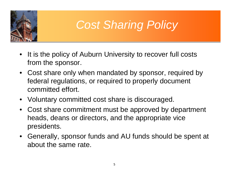

# *Cost Sharing Policy*

- $\bullet$  It is the policy of Auburn University to recover full costs from the sponsor.
- Cost share only when mandated by sponsor, required by federal regulations, or required to properly document committed effort.
- Voluntary committed cost share is discouraged.
- Cost share commitment must be approved by department heads, deans or directors, and the appropriate vice presidents.
- Generally, sponsor funds and AU funds should be spent at about the same rate.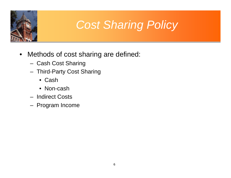

# *Cost Sharing Policy*

- $\bullet$  Methods of cost sharing are defined:
	- Cash Cost Sharing
	- Third-Party Cost Sharing
		- Cash
		- Non-cash
	- Indirect Costs
	- Program Income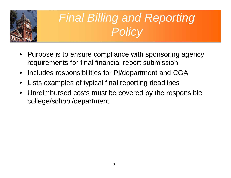

# *Final Billing and Reporting Policy*

- $\bullet$  Purpose is to ensure compliance with sponsoring agency requirements for final financial report submission
- $\bullet$ Includes responsibilities for PI/department and CGA
- $\bullet$ Lists examples of typical final reporting deadlines
- $\bullet$  Unreimbursed costs must be covered by the responsible college/school/department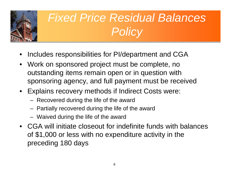

# *Fixed Price Residual Balances Policy*

- •Includes responsibilities for PI/department and CGA
- $\bullet$  Work on sponsored project must be complete, no outstanding items remain open or in question with sponsoring agency, and full payment must be received
- Explains recovery methods if Indirect Costs were:
	- Recovered during the life of the award
	- Partially recovered during the life of the award
	- Waived during the life of the award
- CGA will initiate closeout for indefinite funds with balances of \$1,000 or less with no expenditure activity in the preceding 180 days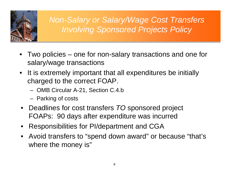

*Non-Salary or Salary/Wage Cost Transfers Involving Sponsored Projects Policy*

- $\bullet$  Two policies – one for non-salary transactions and one for salary/wage transactions
- It is extremely important that all expenditures be initially charged to the correct FOAP.
	- OMB Circular A-21, Section C.4.b
	- Parking of costs
- Deadlines for cost transfers *TO* sponsored project FOAPs: 90 days after expenditure was incurred
- Responsibilities for PI/department and CGA
- Avoid transfers to "spend down award" or because "that's where the money is"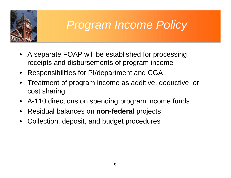

### *Program Income Policy*

- $\bullet$  A separate FOAP will be established for processing receipts and disbursements of program income
- $\bullet$ Responsibilities for PI/department and CGA
- $\bullet$  Treatment of program income as additive, deductive, or cost sharing
- A-110 directions on spending program income funds
- •Residual balances on **non-federal** projects
- •Collection, deposit, and budget procedures